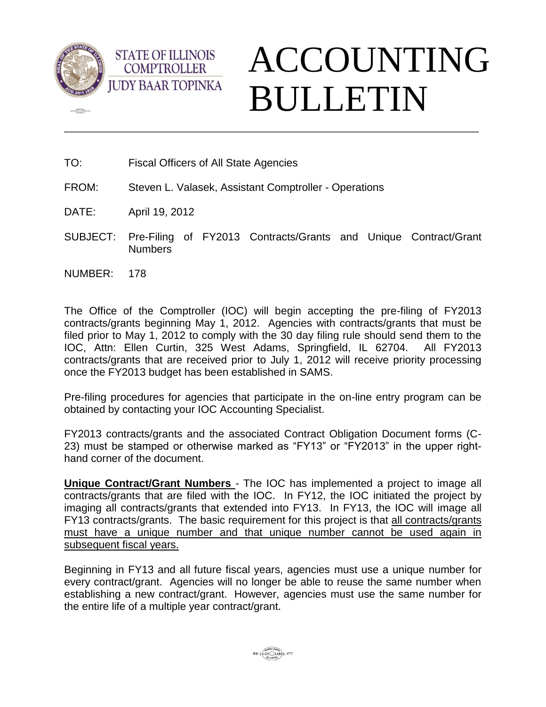

 $\sqrt{2\pi}$ 



TO: Fiscal Officers of All State Agencies

**STATE OF ILLINOIS COMPTROLLER** 

- FROM: Steven L. Valasek, Assistant Comptroller Operations
- DATE: April 19, 2012
- SUBJECT: Pre-Filing of FY2013 Contracts/Grants and Unique Contract/Grant Numbers

\_\_\_\_\_\_\_\_\_\_\_\_\_\_\_\_\_\_\_\_\_\_\_\_\_\_\_\_\_\_\_\_\_\_\_\_\_\_\_\_\_\_\_\_\_\_\_\_\_\_\_\_\_\_\_\_\_\_\_\_\_\_\_\_\_\_\_\_\_\_\_\_\_\_\_\_\_\_\_\_\_\_\_\_\_

NUMBER: 178

The Office of the Comptroller (IOC) will begin accepting the pre-filing of FY2013 contracts/grants beginning May 1, 2012. Agencies with contracts/grants that must be filed prior to May 1, 2012 to comply with the 30 day filing rule should send them to the IOC, Attn: Ellen Curtin, 325 West Adams, Springfield, IL 62704. All FY2013 contracts/grants that are received prior to July 1, 2012 will receive priority processing once the FY2013 budget has been established in SAMS.

Pre-filing procedures for agencies that participate in the on-line entry program can be obtained by contacting your IOC Accounting Specialist.

FY2013 contracts/grants and the associated Contract Obligation Document forms (C-23) must be stamped or otherwise marked as "FY13" or "FY2013" in the upper righthand corner of the document.

**Unique Contract/Grant Numbers** - The IOC has implemented a project to image all contracts/grants that are filed with the IOC. In FY12, the IOC initiated the project by imaging all contracts/grants that extended into FY13. In FY13, the IOC will image all FY13 contracts/grants. The basic requirement for this project is that all contracts/grants must have a unique number and that unique number cannot be used again in subsequent fiscal years.

Beginning in FY13 and all future fiscal years, agencies must use a unique number for every contract/grant. Agencies will no longer be able to reuse the same number when establishing a new contract/grant. However, agencies must use the same number for the entire life of a multiple year contract/grant.